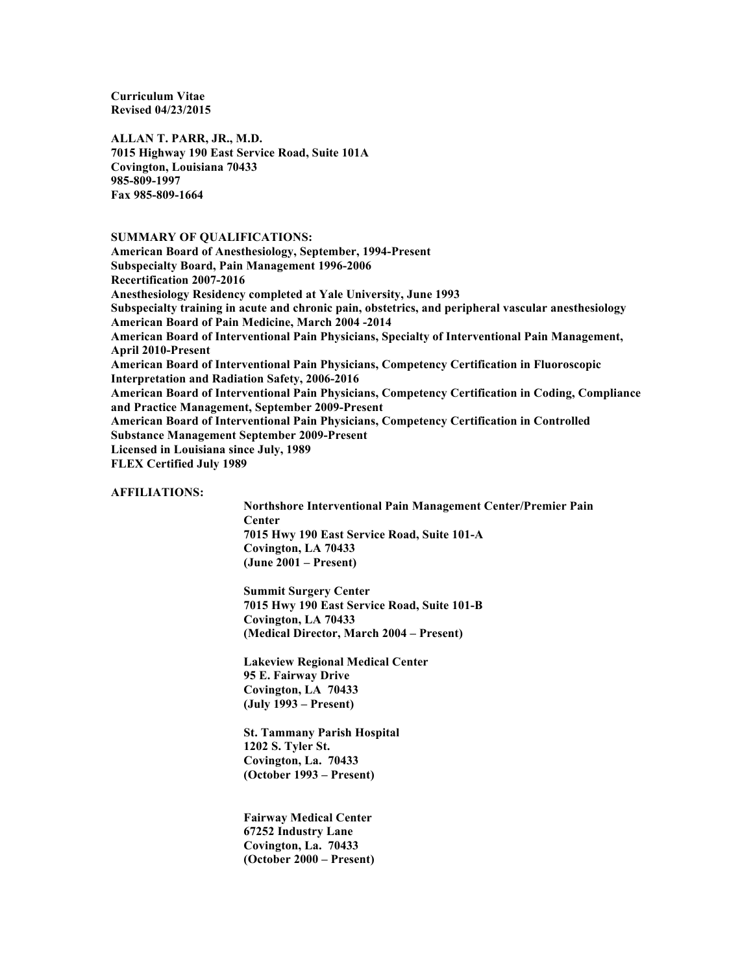**Curriculum Vitae Revised 04/23/2015**

**ALLAN T. PARR, JR., M.D. 7015 Highway 190 East Service Road, Suite 101A Covington, Louisiana 70433 985-809-1997 Fax 985-809-1664**

# **SUMMARY OF QUALIFICATIONS:**

**American Board of Anesthesiology, September, 1994-Present Subspecialty Board, Pain Management 1996-2006 Recertification 2007-2016 Anesthesiology Residency completed at Yale University, June 1993 Subspecialty training in acute and chronic pain, obstetrics, and peripheral vascular anesthesiology American Board of Pain Medicine, March 2004 -2014 American Board of Interventional Pain Physicians, Specialty of Interventional Pain Management, April 2010-Present American Board of Interventional Pain Physicians, Competency Certification in Fluoroscopic Interpretation and Radiation Safety, 2006-2016 American Board of Interventional Pain Physicians, Competency Certification in Coding, Compliance and Practice Management, September 2009-Present American Board of Interventional Pain Physicians, Competency Certification in Controlled Substance Management September 2009-Present Licensed in Louisiana since July, 1989 FLEX Certified July 1989**

## **AFFILIATIONS:**

**Northshore Interventional Pain Management Center/Premier Pain Center 7015 Hwy 190 East Service Road, Suite 101-A Covington, LA 70433 (June 2001 – Present)**

**Summit Surgery Center 7015 Hwy 190 East Service Road, Suite 101-B Covington, LA 70433 (Medical Director, March 2004 – Present)**

**Lakeview Regional Medical Center 95 E. Fairway Drive Covington, LA 70433 (July 1993 – Present)**

**St. Tammany Parish Hospital 1202 S. Tyler St. Covington, La. 70433 (October 1993 – Present)**

**Fairway Medical Center 67252 Industry Lane Covington, La. 70433 (October 2000 – Present)**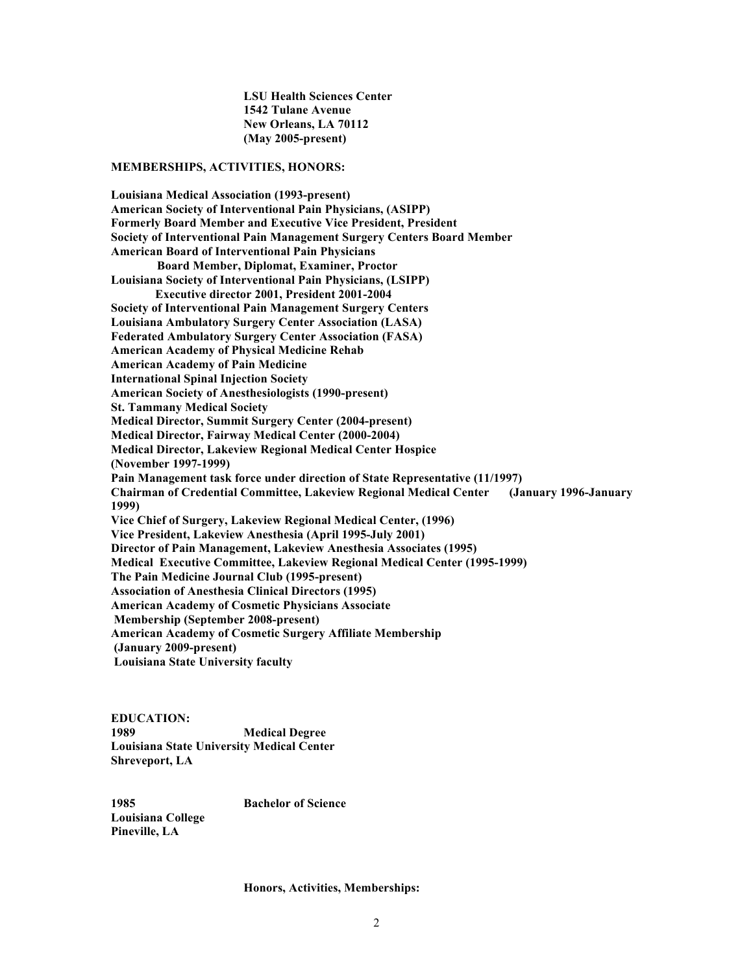**LSU Health Sciences Center 1542 Tulane Avenue New Orleans, LA 70112 (May 2005-present)**

#### **MEMBERSHIPS, ACTIVITIES, HONORS:**

**Louisiana Medical Association (1993-present) American Society of Interventional Pain Physicians, (ASIPP) Formerly Board Member and Executive Vice President, President Society of Interventional Pain Management Surgery Centers Board Member American Board of Interventional Pain Physicians Board Member, Diplomat, Examiner, Proctor Louisiana Society of Interventional Pain Physicians, (LSIPP) Executive director 2001, President 2001-2004 Society of Interventional Pain Management Surgery Centers Louisiana Ambulatory Surgery Center Association (LASA) Federated Ambulatory Surgery Center Association (FASA) American Academy of Physical Medicine Rehab American Academy of Pain Medicine International Spinal Injection Society American Society of Anesthesiologists (1990-present) St. Tammany Medical Society Medical Director, Summit Surgery Center (2004-present) Medical Director, Fairway Medical Center (2000-2004) Medical Director, Lakeview Regional Medical Center Hospice (November 1997-1999) Pain Management task force under direction of State Representative (11/1997) Chairman of Credential Committee, Lakeview Regional Medical Center (January 1996-January 1999) Vice Chief of Surgery, Lakeview Regional Medical Center, (1996) Vice President, Lakeview Anesthesia (April 1995-July 2001) Director of Pain Management, Lakeview Anesthesia Associates (1995) Medical Executive Committee, Lakeview Regional Medical Center (1995-1999) The Pain Medicine Journal Club (1995-present) Association of Anesthesia Clinical Directors (1995) American Academy of Cosmetic Physicians Associate Membership (September 2008-present) American Academy of Cosmetic Surgery Affiliate Membership (January 2009-present) Louisiana State University faculty** 

**EDUCATION: 1989 Medical Degree Louisiana State University Medical Center Shreveport, LA**

**1985 Bachelor of Science Louisiana College Pineville, LA**

#### **Honors, Activities, Memberships:**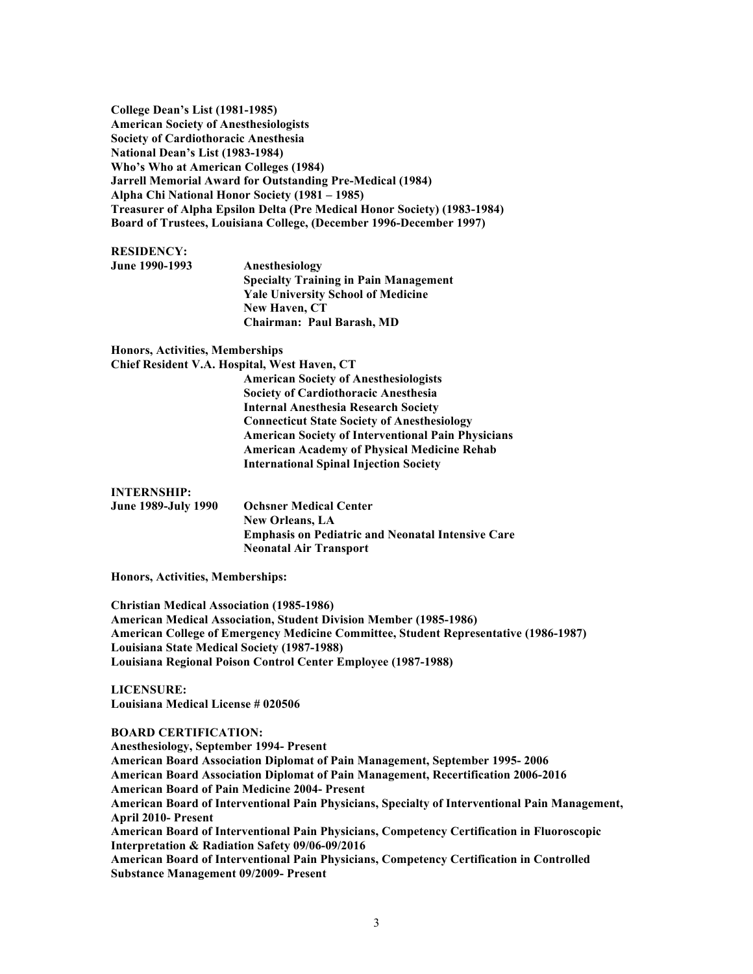**College Dean's List (1981-1985) American Society of Anesthesiologists Society of Cardiothoracic Anesthesia National Dean's List (1983-1984) Who's Who at American Colleges (1984) Jarrell Memorial Award for Outstanding Pre-Medical (1984) Alpha Chi National Honor Society (1981 – 1985) Treasurer of Alpha Epsilon Delta (Pre Medical Honor Society) (1983-1984) Board of Trustees, Louisiana College, (December 1996-December 1997)**

## **RESIDENCY:**

**June 1990-1993 Anesthesiology Specialty Training in Pain Management Yale University School of Medicine New Haven, CT Chairman: Paul Barash, MD**

**Honors, Activities, Memberships**

**Chief Resident V.A. Hospital, West Haven, CT**

**American Society of Anesthesiologists Society of Cardiothoracic Anesthesia Internal Anesthesia Research Society Connecticut State Society of Anesthesiology American Society of Interventional Pain Physicians American Academy of Physical Medicine Rehab International Spinal Injection Society**

### **INTERNSHIP:**

**June 1989-July 1990 Ochsner Medical Center New Orleans, LA Emphasis on Pediatric and Neonatal Intensive Care Neonatal Air Transport**

**Honors, Activities, Memberships:**

**Christian Medical Association (1985-1986) American Medical Association, Student Division Member (1985-1986) American College of Emergency Medicine Committee, Student Representative (1986-1987) Louisiana State Medical Society (1987-1988) Louisiana Regional Poison Control Center Employee (1987-1988)**

**LICENSURE: Louisiana Medical License # 020506**

# **BOARD CERTIFICATION:**

**Anesthesiology, September 1994- Present American Board Association Diplomat of Pain Management, September 1995- 2006 American Board Association Diplomat of Pain Management, Recertification 2006-2016 American Board of Pain Medicine 2004- Present American Board of Interventional Pain Physicians, Specialty of Interventional Pain Management, April 2010- Present American Board of Interventional Pain Physicians, Competency Certification in Fluoroscopic Interpretation & Radiation Safety 09/06-09/2016 American Board of Interventional Pain Physicians, Competency Certification in Controlled Substance Management 09/2009- Present**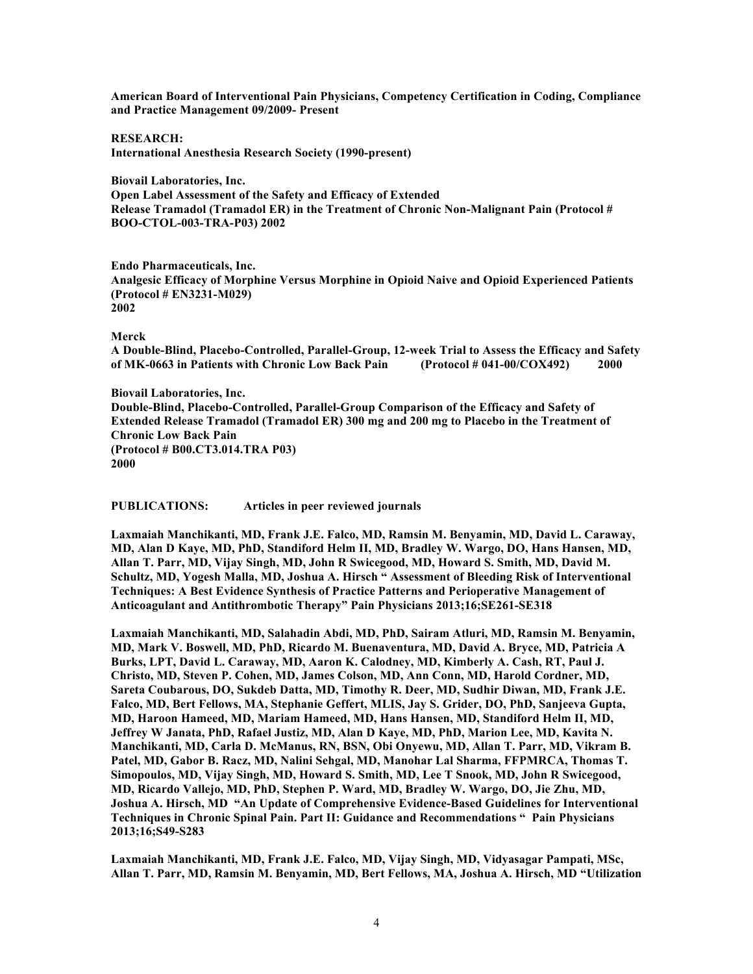**American Board of Interventional Pain Physicians, Competency Certification in Coding, Compliance and Practice Management 09/2009- Present**

**RESEARCH: International Anesthesia Research Society (1990-present)**

**Biovail Laboratories, Inc. Open Label Assessment of the Safety and Efficacy of Extended Release Tramadol (Tramadol ER) in the Treatment of Chronic Non-Malignant Pain (Protocol # BOO-CTOL-003-TRA-P03) 2002**

**Endo Pharmaceuticals, Inc. Analgesic Efficacy of Morphine Versus Morphine in Opioid Naive and Opioid Experienced Patients (Protocol # EN3231-M029) 2002**

#### **Merck**

**A Double-Blind, Placebo-Controlled, Parallel-Group, 12-week Trial to Assess the Efficacy and Safety of MK-0663 in Patients with Chronic Low Back Pain (Protocol # 041-00/COX492) 2000**

**Biovail Laboratories, Inc. Double-Blind, Placebo-Controlled, Parallel-Group Comparison of the Efficacy and Safety of Extended Release Tramadol (Tramadol ER) 300 mg and 200 mg to Placebo in the Treatment of Chronic Low Back Pain (Protocol # B00.CT3.014.TRA P03) 2000**

**PUBLICATIONS: Articles in peer reviewed journals**

**Laxmaiah Manchikanti, MD, Frank J.E. Falco, MD, Ramsin M. Benyamin, MD, David L. Caraway, MD, Alan D Kaye, MD, PhD, Standiford Helm II, MD, Bradley W. Wargo, DO, Hans Hansen, MD, Allan T. Parr, MD, Vijay Singh, MD, John R Swicegood, MD, Howard S. Smith, MD, David M. Schultz, MD, Yogesh Malla, MD, Joshua A. Hirsch " Assessment of Bleeding Risk of Interventional Techniques: A Best Evidence Synthesis of Practice Patterns and Perioperative Management of Anticoagulant and Antithrombotic Therapy" Pain Physicians 2013;16;SE261-SE318**

**Laxmaiah Manchikanti, MD, Salahadin Abdi, MD, PhD, Sairam Atluri, MD, Ramsin M. Benyamin, MD, Mark V. Boswell, MD, PhD, Ricardo M. Buenaventura, MD, David A. Bryce, MD, Patricia A Burks, LPT, David L. Caraway, MD, Aaron K. Calodney, MD, Kimberly A. Cash, RT, Paul J. Christo, MD, Steven P. Cohen, MD, James Colson, MD, Ann Conn, MD, Harold Cordner, MD, Sareta Coubarous, DO, Sukdeb Datta, MD, Timothy R. Deer, MD, Sudhir Diwan, MD, Frank J.E. Falco, MD, Bert Fellows, MA, Stephanie Geffert, MLIS, Jay S. Grider, DO, PhD, Sanjeeva Gupta, MD, Haroon Hameed, MD, Mariam Hameed, MD, Hans Hansen, MD, Standiford Helm II, MD, Jeffrey W Janata, PhD, Rafael Justiz, MD, Alan D Kaye, MD, PhD, Marion Lee, MD, Kavita N. Manchikanti, MD, Carla D. McManus, RN, BSN, Obi Onyewu, MD, Allan T. Parr, MD, Vikram B. Patel, MD, Gabor B. Racz, MD, Nalini Sehgal, MD, Manohar Lal Sharma, FFPMRCA, Thomas T. Simopoulos, MD, Vijay Singh, MD, Howard S. Smith, MD, Lee T Snook, MD, John R Swicegood, MD, Ricardo Vallejo, MD, PhD, Stephen P. Ward, MD, Bradley W. Wargo, DO, Jie Zhu, MD, Joshua A. Hirsch, MD "An Update of Comprehensive Evidence-Based Guidelines for Interventional Techniques in Chronic Spinal Pain. Part II: Guidance and Recommendations " Pain Physicians 2013;16;S49-S283** 

**Laxmaiah Manchikanti, MD, Frank J.E. Falco, MD, Vijay Singh, MD, Vidyasagar Pampati, MSc, Allan T. Parr, MD, Ramsin M. Benyamin, MD, Bert Fellows, MA, Joshua A. Hirsch, MD "Utilization**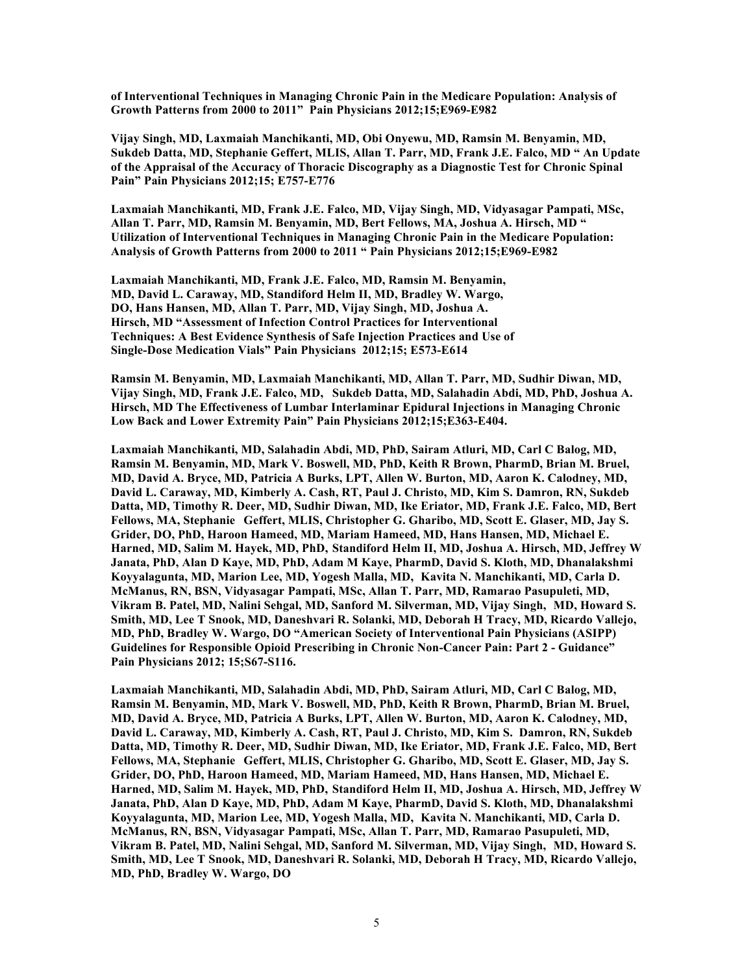**of Interventional Techniques in Managing Chronic Pain in the Medicare Population: Analysis of Growth Patterns from 2000 to 2011" Pain Physicians 2012;15;E969-E982** 

**Vijay Singh, MD, Laxmaiah Manchikanti, MD, Obi Onyewu, MD, Ramsin M. Benyamin, MD, Sukdeb Datta, MD, Stephanie Geffert, MLIS, Allan T. Parr, MD, Frank J.E. Falco, MD " An Update of the Appraisal of the Accuracy of Thoracic Discography as a Diagnostic Test for Chronic Spinal Pain" Pain Physicians 2012;15; E757-E776**

**Laxmaiah Manchikanti, MD, Frank J.E. Falco, MD, Vijay Singh, MD, Vidyasagar Pampati, MSc, Allan T. Parr, MD, Ramsin M. Benyamin, MD, Bert Fellows, MA, Joshua A. Hirsch, MD " Utilization of Interventional Techniques in Managing Chronic Pain in the Medicare Population: Analysis of Growth Patterns from 2000 to 2011 " Pain Physicians 2012;15;E969-E982**

**Laxmaiah Manchikanti, MD, Frank J.E. Falco, MD, Ramsin M. Benyamin, MD, David L. Caraway, MD, Standiford Helm II, MD, Bradley W. Wargo, DO, Hans Hansen, MD, Allan T. Parr, MD, Vijay Singh, MD, Joshua A. Hirsch, MD "Assessment of Infection Control Practices for Interventional Techniques: A Best Evidence Synthesis of Safe Injection Practices and Use of Single-Dose Medication Vials" Pain Physicians 2012;15; E573-E614**

**Ramsin M. Benyamin, MD, Laxmaiah Manchikanti, MD, Allan T. Parr, MD, Sudhir Diwan, MD, Vijay Singh, MD, Frank J.E. Falco, MD, Sukdeb Datta, MD, Salahadin Abdi, MD, PhD, Joshua A. Hirsch, MD The Effectiveness of Lumbar Interlaminar Epidural Injections in Managing Chronic Low Back and Lower Extremity Pain" Pain Physicians 2012;15;E363-E404.** 

**Laxmaiah Manchikanti, MD, Salahadin Abdi, MD, PhD, Sairam Atluri, MD, Carl C Balog, MD, Ramsin M. Benyamin, MD, Mark V. Boswell, MD, PhD, Keith R Brown, PharmD, Brian M. Bruel, MD, David A. Bryce, MD, Patricia A Burks, LPT, Allen W. Burton, MD, Aaron K. Calodney, MD, David L. Caraway, MD, Kimberly A. Cash, RT, Paul J. Christo, MD, Kim S. Damron, RN, Sukdeb Datta, MD, Timothy R. Deer, MD, Sudhir Diwan, MD, Ike Eriator, MD, Frank J.E. Falco, MD, Bert Fellows, MA, Stephanie Geffert, MLIS, Christopher G. Gharibo, MD, Scott E. Glaser, MD, Jay S. Grider, DO, PhD, Haroon Hameed, MD, Mariam Hameed, MD, Hans Hansen, MD, Michael E. Harned, MD, Salim M. Hayek, MD, PhD, Standiford Helm II, MD, Joshua A. Hirsch, MD, Jeffrey W Janata, PhD, Alan D Kaye, MD, PhD, Adam M Kaye, PharmD, David S. Kloth, MD, Dhanalakshmi Koyyalagunta, MD, Marion Lee, MD, Yogesh Malla, MD, Kavita N. Manchikanti, MD, Carla D. McManus, RN, BSN, Vidyasagar Pampati, MSc, Allan T. Parr, MD, Ramarao Pasupuleti, MD, Vikram B. Patel, MD, Nalini Sehgal, MD, Sanford M. Silverman, MD, Vijay Singh, MD, Howard S. Smith, MD, Lee T Snook, MD, Daneshvari R. Solanki, MD, Deborah H Tracy, MD, Ricardo Vallejo, MD, PhD, Bradley W. Wargo, DO "American Society of Interventional Pain Physicians (ASIPP) Guidelines for Responsible Opioid Prescribing in Chronic Non-Cancer Pain: Part 2 - Guidance" Pain Physicians 2012; 15;S67-S116.**

**Laxmaiah Manchikanti, MD, Salahadin Abdi, MD, PhD, Sairam Atluri, MD, Carl C Balog, MD, Ramsin M. Benyamin, MD, Mark V. Boswell, MD, PhD, Keith R Brown, PharmD, Brian M. Bruel, MD, David A. Bryce, MD, Patricia A Burks, LPT, Allen W. Burton, MD, Aaron K. Calodney, MD, David L. Caraway, MD, Kimberly A. Cash, RT, Paul J. Christo, MD, Kim S. Damron, RN, Sukdeb Datta, MD, Timothy R. Deer, MD, Sudhir Diwan, MD, Ike Eriator, MD, Frank J.E. Falco, MD, Bert Fellows, MA, Stephanie Geffert, MLIS, Christopher G. Gharibo, MD, Scott E. Glaser, MD, Jay S. Grider, DO, PhD, Haroon Hameed, MD, Mariam Hameed, MD, Hans Hansen, MD, Michael E. Harned, MD, Salim M. Hayek, MD, PhD, Standiford Helm II, MD, Joshua A. Hirsch, MD, Jeffrey W Janata, PhD, Alan D Kaye, MD, PhD, Adam M Kaye, PharmD, David S. Kloth, MD, Dhanalakshmi Koyyalagunta, MD, Marion Lee, MD, Yogesh Malla, MD, Kavita N. Manchikanti, MD, Carla D. McManus, RN, BSN, Vidyasagar Pampati, MSc, Allan T. Parr, MD, Ramarao Pasupuleti, MD, Vikram B. Patel, MD, Nalini Sehgal, MD, Sanford M. Silverman, MD, Vijay Singh, MD, Howard S. Smith, MD, Lee T Snook, MD, Daneshvari R. Solanki, MD, Deborah H Tracy, MD, Ricardo Vallejo, MD, PhD, Bradley W. Wargo, DO**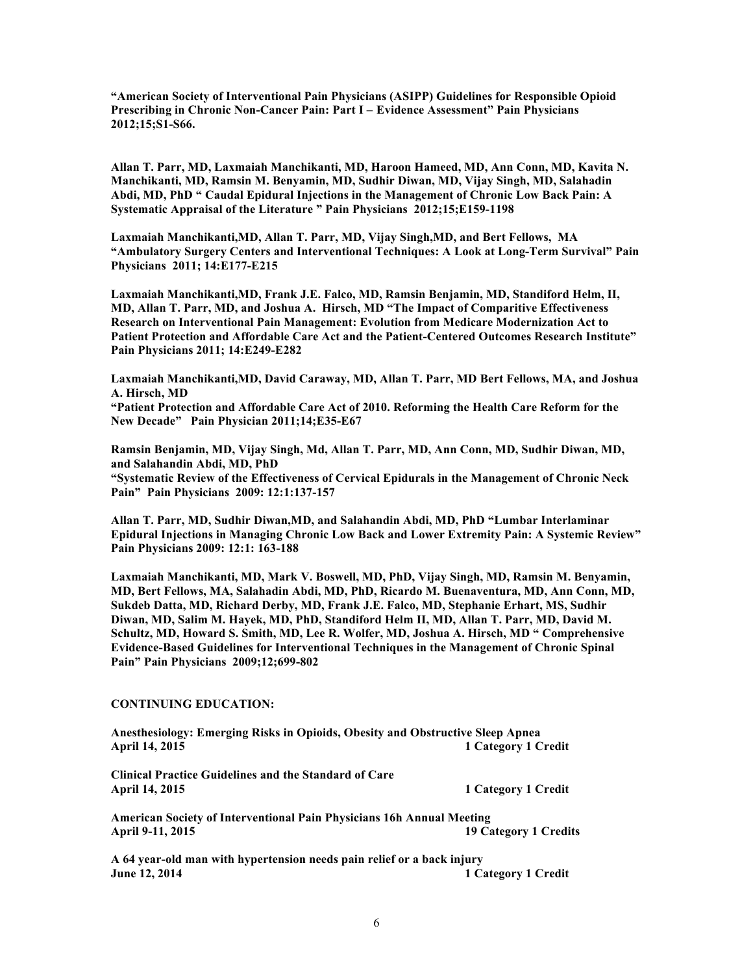**"American Society of Interventional Pain Physicians (ASIPP) Guidelines for Responsible Opioid Prescribing in Chronic Non-Cancer Pain: Part I – Evidence Assessment" Pain Physicians 2012;15;S1-S66.**

**Allan T. Parr, MD, Laxmaiah Manchikanti, MD, Haroon Hameed, MD, Ann Conn, MD, Kavita N. Manchikanti, MD, Ramsin M. Benyamin, MD, Sudhir Diwan, MD, Vijay Singh, MD, Salahadin Abdi, MD, PhD " Caudal Epidural Injections in the Management of Chronic Low Back Pain: A Systematic Appraisal of the Literature " Pain Physicians 2012;15;E159-1198**

**Laxmaiah Manchikanti,MD, Allan T. Parr, MD, Vijay Singh,MD, and Bert Fellows, MA "Ambulatory Surgery Centers and Interventional Techniques: A Look at Long-Term Survival" Pain Physicians 2011; 14:E177-E215**

**Laxmaiah Manchikanti,MD, Frank J.E. Falco, MD, Ramsin Benjamin, MD, Standiford Helm, II, MD, Allan T. Parr, MD, and Joshua A. Hirsch, MD "The Impact of Comparitive Effectiveness Research on Interventional Pain Management: Evolution from Medicare Modernization Act to Patient Protection and Affordable Care Act and the Patient-Centered Outcomes Research Institute" Pain Physicians 2011; 14:E249-E282**

**Laxmaiah Manchikanti,MD, David Caraway, MD, Allan T. Parr, MD Bert Fellows, MA, and Joshua A. Hirsch, MD**

**"Patient Protection and Affordable Care Act of 2010. Reforming the Health Care Reform for the New Decade" Pain Physician 2011;14;E35-E67**

**Ramsin Benjamin, MD, Vijay Singh, Md, Allan T. Parr, MD, Ann Conn, MD, Sudhir Diwan, MD, and Salahandin Abdi, MD, PhD "Systematic Review of the Effectiveness of Cervical Epidurals in the Management of Chronic Neck** 

**Pain" Pain Physicians 2009: 12:1:137-157**

**Allan T. Parr, MD, Sudhir Diwan,MD, and Salahandin Abdi, MD, PhD "Lumbar Interlaminar Epidural Injections in Managing Chronic Low Back and Lower Extremity Pain: A Systemic Review" Pain Physicians 2009: 12:1: 163-188**

**Laxmaiah Manchikanti, MD, Mark V. Boswell, MD, PhD, Vijay Singh, MD, Ramsin M. Benyamin, MD, Bert Fellows, MA, Salahadin Abdi, MD, PhD, Ricardo M. Buenaventura, MD, Ann Conn, MD, Sukdeb Datta, MD, Richard Derby, MD, Frank J.E. Falco, MD, Stephanie Erhart, MS, Sudhir Diwan, MD, Salim M. Hayek, MD, PhD, Standiford Helm II, MD, Allan T. Parr, MD, David M. Schultz, MD, Howard S. Smith, MD, Lee R. Wolfer, MD, Joshua A. Hirsch, MD " Comprehensive Evidence-Based Guidelines for Interventional Techniques in the Management of Chronic Spinal Pain" Pain Physicians 2009;12;699-802**

## **CONTINUING EDUCATION:**

**Anesthesiology: Emerging Risks in Opioids, Obesity and Obstructive Sleep Apnea April 14, 2015 1 Category 1 Credit**

**Clinical Practice Guidelines and the Standard of Care April 14, 2015 1 Category 1 Credit**

**American Society of Interventional Pain Physicians 16h Annual Meeting April 9-11, 2015 19 Category 1 Credits**

**A 64 year-old man with hypertension needs pain relief or a back injury June 12, 2014 1 Category 1 Credit**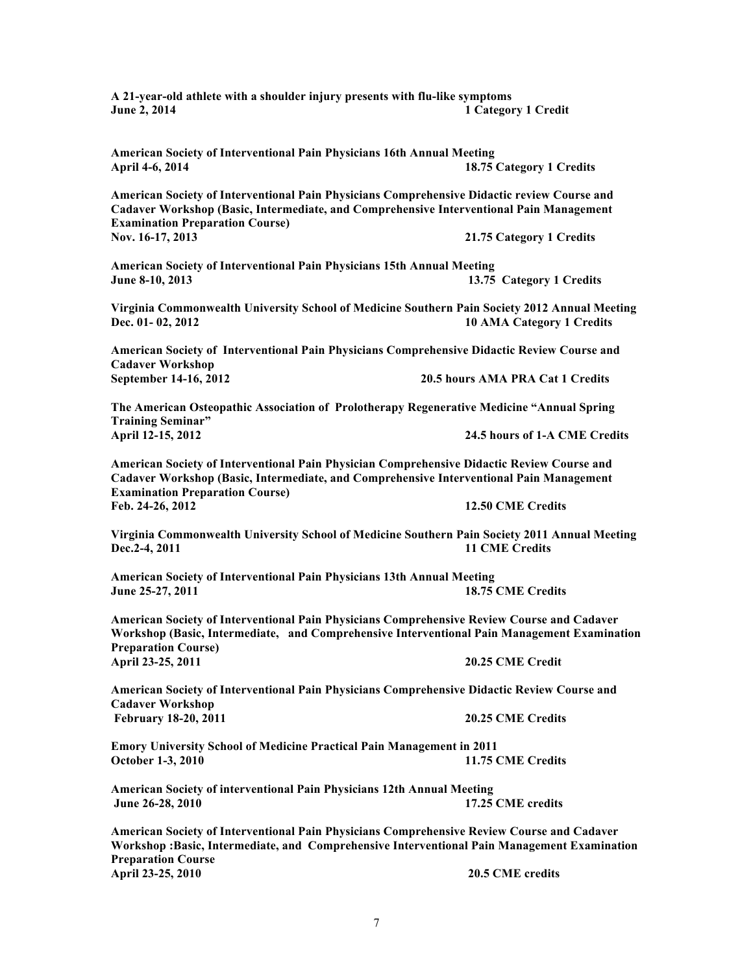7 **Cadaver Workshop September 14-16, 2012 20.5 hours AMA PRA Cat 1 Credits April 12-15, 2012 24.5 hours of 1-A CME Credits**

**American Society of Interventional Pain Physicians Comprehensive Didactic Review Course and** 

**Virginia Commonwealth University School of Medicine Southern Pain Society 2012 Annual Meeting Dec. 01- 02, 2012 10 AMA Category 1 Credits**

**The American Osteopathic Association of Prolotherapy Regenerative Medicine "Annual Spring Training Seminar"**

**American Society of Interventional Pain Physician Comprehensive Didactic Review Course and Cadaver Workshop (Basic, Intermediate, and Comprehensive Interventional Pain Management Examination Preparation Course) Feb. 24-26, 2012 12.50 CME Credits**

**Virginia Commonwealth University School of Medicine Southern Pain Society 2011 Annual Meeting Dec.2-4, 2011 11 CME Credits** 

**American Society of Interventional Pain Physicians 13th Annual Meeting June 25-27, 2011 18.75 CME Credits**

**American Society of Interventional Pain Physicians Comprehensive Review Course and Cadaver Workshop (Basic, Intermediate, and Comprehensive Interventional Pain Management Examination Preparation Course) April 23-25, 2011 20.25 CME Credit**

**American Society of Interventional Pain Physicians Comprehensive Didactic Review Course and Cadaver Workshop February 18-20, 2011 20.25 CME Credits**

**Emory University School of Medicine Practical Pain Management in 2011 October 1-3, 2010** 11.75 CME Credits

**American Society of interventional Pain Physicians 12th Annual Meeting June 26-28, 2010 17.25 CME credits**

**American Society of Interventional Pain Physicians Comprehensive Review Course and Cadaver Workshop :Basic, Intermediate, and Comprehensive Interventional Pain Management Examination Preparation Course April 23-25, 2010 20.5 CME credits** 

**American Society of Interventional Pain Physicians 15th Annual Meeting June 8-10, 2013 13.75 Category 1 Credits**

**Nov. 16-17, 2013 21.75 Category 1 Credits**

**Examination Preparation Course)**

**American Society of Interventional Pain Physicians Comprehensive Didactic review Course and Cadaver Workshop (Basic, Intermediate, and Comprehensive Interventional Pain Management** 

**April 4-6, 2014 18.75 Category 1 Credits**

**A 21-year-old athlete with a shoulder injury presents with flu-like symptoms June 2, 2014 1 Category 1 Credit**

**American Society of Interventional Pain Physicians 16th Annual Meeting**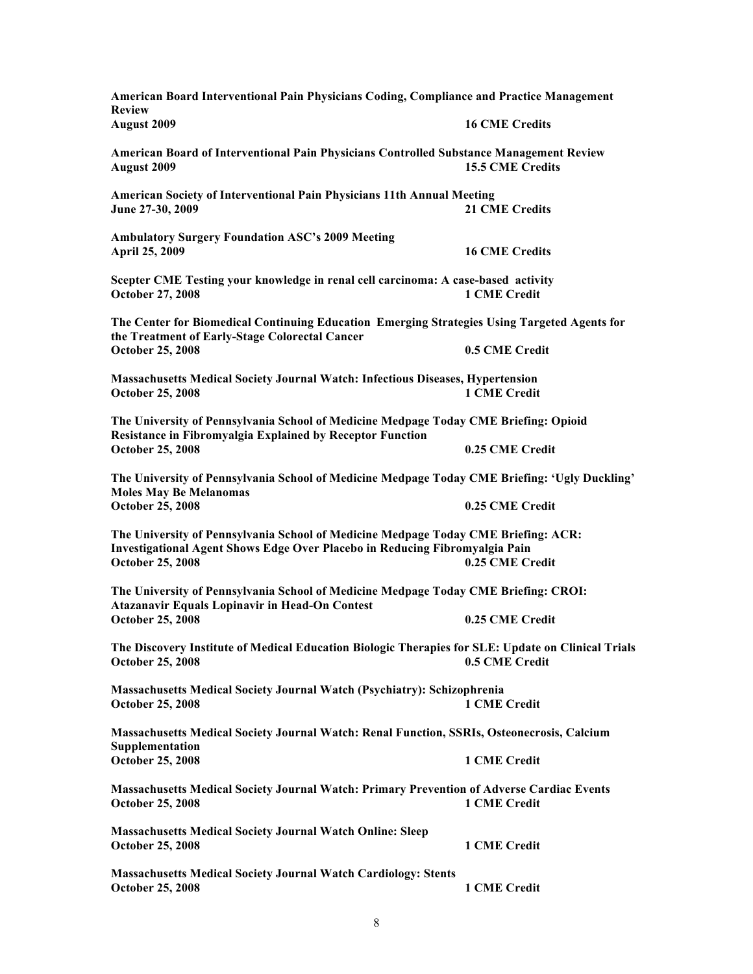| American Board Interventional Pain Physicians Coding, Compliance and Practice Management<br><b>Review</b>                                                                                    |                       |  |
|----------------------------------------------------------------------------------------------------------------------------------------------------------------------------------------------|-----------------------|--|
| <b>August 2009</b>                                                                                                                                                                           | <b>16 CME Credits</b> |  |
| American Board of Interventional Pain Physicians Controlled Substance Management Review<br>August 2009                                                                                       | 15.5 CME Credits      |  |
| American Society of Interventional Pain Physicians 11th Annual Meeting<br>June 27-30, 2009                                                                                                   | <b>21 CME Credits</b> |  |
| <b>Ambulatory Surgery Foundation ASC's 2009 Meeting</b><br>April 25, 2009                                                                                                                    | <b>16 CME Credits</b> |  |
| Scepter CME Testing your knowledge in renal cell carcinoma: A case-based activity<br><b>October 27, 2008</b>                                                                                 | <b>1 CME Credit</b>   |  |
| The Center for Biomedical Continuing Education Emerging Strategies Using Targeted Agents for<br>the Treatment of Early-Stage Colorectal Cancer                                               |                       |  |
| <b>October 25, 2008</b>                                                                                                                                                                      | 0.5 CME Credit        |  |
| <b>Massachusetts Medical Society Journal Watch: Infectious Diseases, Hypertension</b><br><b>October 25, 2008</b>                                                                             | 1 CME Credit          |  |
| The University of Pennsylvania School of Medicine Medpage Today CME Briefing: Opioid<br><b>Resistance in Fibromyalgia Explained by Receptor Function</b>                                     |                       |  |
| <b>October 25, 2008</b>                                                                                                                                                                      | 0.25 CME Credit       |  |
| The University of Pennsylvania School of Medicine Medpage Today CME Briefing: 'Ugly Duckling'<br><b>Moles May Be Melanomas</b>                                                               |                       |  |
| <b>October 25, 2008</b>                                                                                                                                                                      | 0.25 CME Credit       |  |
| The University of Pennsylvania School of Medicine Medpage Today CME Briefing: ACR:<br>Investigational Agent Shows Edge Over Placebo in Reducing Fibromyalgia Pain<br><b>October 25, 2008</b> | 0.25 CME Credit       |  |
|                                                                                                                                                                                              |                       |  |
| The University of Pennsylvania School of Medicine Medpage Today CME Briefing: CROI:<br><b>Atazanavir Equals Lopinavir in Head-On Contest</b>                                                 |                       |  |
| <b>October 25, 2008</b>                                                                                                                                                                      | 0.25 CME Credit       |  |
| The Discovery Institute of Medical Education Biologic Therapies for SLE: Update on Clinical Trials                                                                                           |                       |  |
| <b>October 25, 2008</b>                                                                                                                                                                      | 0.5 CME Credit        |  |
| Massachusetts Medical Society Journal Watch (Psychiatry): Schizophrenia<br><b>October 25, 2008</b>                                                                                           | 1 CME Credit          |  |
| Massachusetts Medical Society Journal Watch: Renal Function, SSRIs, Osteonecrosis, Calcium<br>Supplementation                                                                                |                       |  |
| <b>October 25, 2008</b>                                                                                                                                                                      | 1 CME Credit          |  |
| Massachusetts Medical Society Journal Watch: Primary Prevention of Adverse Cardiac Events<br><b>October 25, 2008</b>                                                                         | <b>1 CME Credit</b>   |  |
| <b>Massachusetts Medical Society Journal Watch Online: Sleep</b><br><b>October 25, 2008</b>                                                                                                  | 1 CME Credit          |  |
| <b>Massachusetts Medical Society Journal Watch Cardiology: Stents</b><br><b>October 25, 2008</b>                                                                                             | 1 CME Credit          |  |
|                                                                                                                                                                                              |                       |  |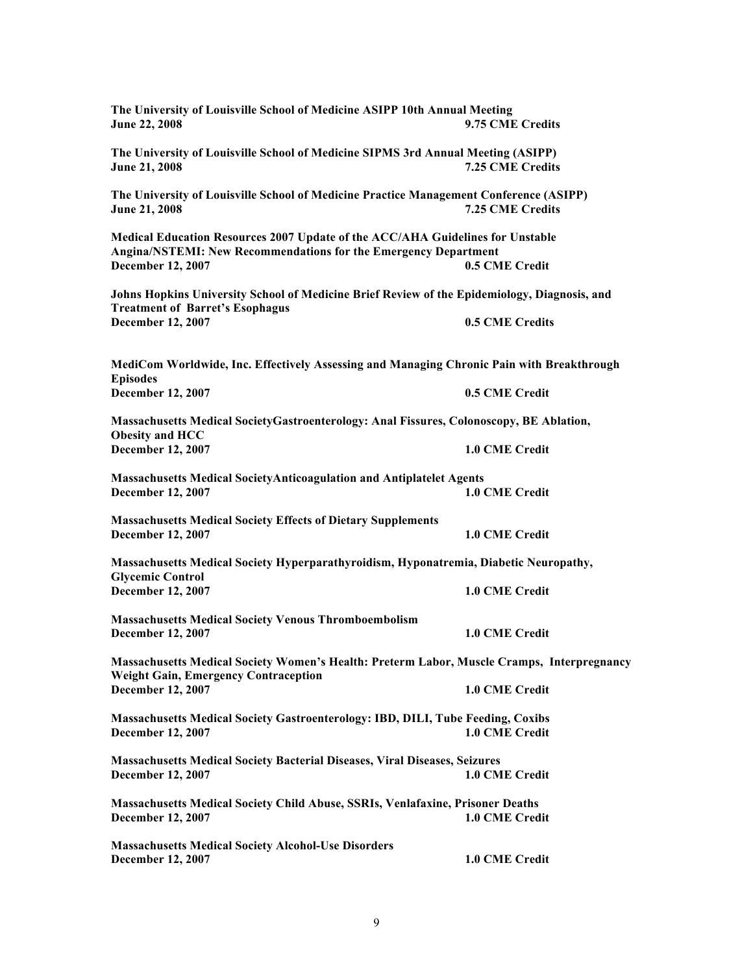| The University of Louisville School of Medicine ASIPP 10th Annual Meeting<br>June 22, 2008                                                                                    | 9.75 CME Credits |  |
|-------------------------------------------------------------------------------------------------------------------------------------------------------------------------------|------------------|--|
| The University of Louisville School of Medicine SIPMS 3rd Annual Meeting (ASIPP)<br>June 21, 2008                                                                             | 7.25 CME Credits |  |
| The University of Louisville School of Medicine Practice Management Conference (ASIPP)<br>June 21, 2008                                                                       | 7.25 CME Credits |  |
| Medical Education Resources 2007 Update of the ACC/AHA Guidelines for Unstable<br><b>Angina/NSTEMI: New Recommendations for the Emergency Department</b><br>December 12, 2007 | 0.5 CME Credit   |  |
| Johns Hopkins University School of Medicine Brief Review of the Epidemiology, Diagnosis, and                                                                                  |                  |  |
| <b>Treatment of Barret's Esophagus</b><br>December 12, 2007                                                                                                                   | 0.5 CME Credits  |  |
| MediCom Worldwide, Inc. Effectively Assessing and Managing Chronic Pain with Breakthrough<br><b>Episodes</b>                                                                  |                  |  |
| December 12, 2007                                                                                                                                                             | 0.5 CME Credit   |  |
| Massachusetts Medical SocietyGastroenterology: Anal Fissures, Colonoscopy, BE Ablation,<br>Obesity and HCC                                                                    |                  |  |
| December 12, 2007                                                                                                                                                             | 1.0 CME Credit   |  |
| <b>Massachusetts Medical SocietyAnticoagulation and Antiplatelet Agents</b><br>December 12, 2007                                                                              | 1.0 CME Credit   |  |
| <b>Massachusetts Medical Society Effects of Dietary Supplements</b><br>December 12, 2007                                                                                      | 1.0 CME Credit   |  |
| Massachusetts Medical Society Hyperparathyroidism, Hyponatremia, Diabetic Neuropathy,                                                                                         |                  |  |
| <b>Glycemic Control</b><br>December 12, 2007                                                                                                                                  | 1.0 CME Credit   |  |
| <b>Massachusetts Medical Society Venous Thromboembolism</b><br>December 12, 2007                                                                                              | 1.0 CME Credit   |  |
| Massachusetts Medical Society Women's Health: Preterm Labor, Muscle Cramps, Interpregnancy                                                                                    |                  |  |
| <b>Weight Gain, Emergency Contraception</b><br>December 12, 2007                                                                                                              | 1.0 CME Credit   |  |
| <b>Massachusetts Medical Society Gastroenterology: IBD, DILI, Tube Feeding, Coxibs</b><br><b>December 12, 2007</b>                                                            | 1.0 CME Credit   |  |
| <b>Massachusetts Medical Society Bacterial Diseases, Viral Diseases, Seizures</b><br><b>December 12, 2007</b>                                                                 | 1.0 CME Credit   |  |
| <b>Massachusetts Medical Society Child Abuse, SSRIs, Venlafaxine, Prisoner Deaths</b><br><b>December 12, 2007</b>                                                             | 1.0 CME Credit   |  |
| <b>Massachusetts Medical Society Alcohol-Use Disorders</b><br>December 12, 2007                                                                                               | 1.0 CME Credit   |  |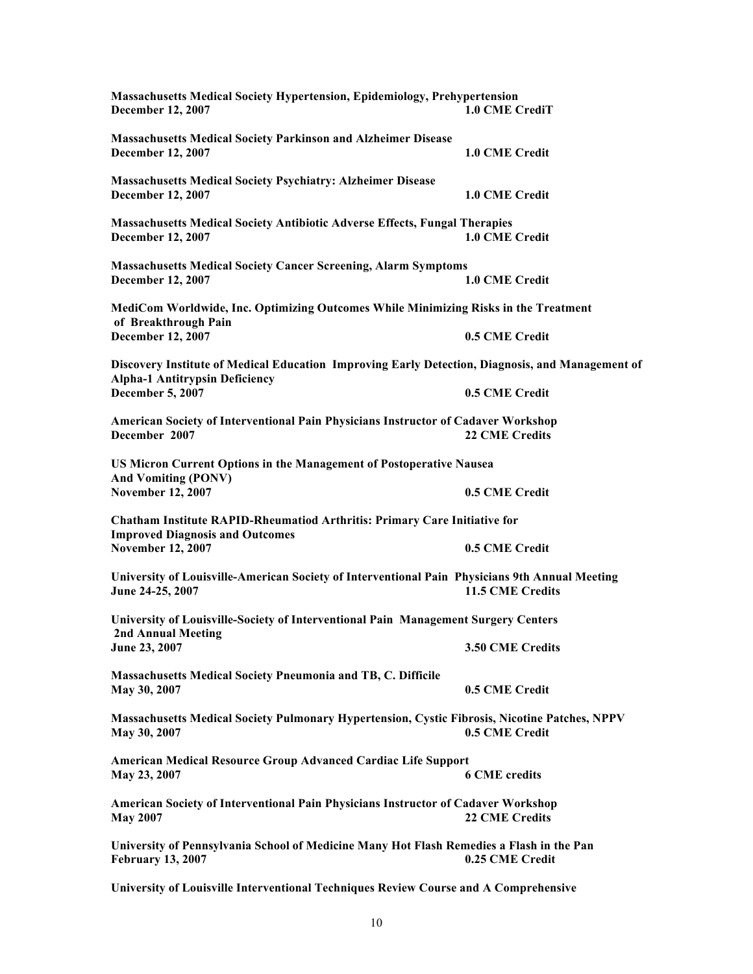| <b>Massachusetts Medical Society Hypertension, Epidemiology, Prehypertension</b><br>December 12, 2007                                     | 1.0 CME CrediT        |  |
|-------------------------------------------------------------------------------------------------------------------------------------------|-----------------------|--|
| <b>Massachusetts Medical Society Parkinson and Alzheimer Disease</b><br>December 12, 2007                                                 | 1.0 CME Credit        |  |
| <b>Massachusetts Medical Society Psychiatry: Alzheimer Disease</b><br><b>December 12, 2007</b>                                            | 1.0 CME Credit        |  |
| <b>Massachusetts Medical Society Antibiotic Adverse Effects, Fungal Therapies</b><br><b>December 12, 2007</b>                             | 1.0 CME Credit        |  |
| <b>Massachusetts Medical Society Cancer Screening, Alarm Symptoms</b><br>December 12, 2007                                                | 1.0 CME Credit        |  |
| MediCom Worldwide, Inc. Optimizing Outcomes While Minimizing Risks in the Treatment                                                       |                       |  |
| of Breakthrough Pain<br>December 12, 2007                                                                                                 | 0.5 CME Credit        |  |
| Discovery Institute of Medical Education Improving Early Detection, Diagnosis, and Management of<br><b>Alpha-1 Antitrypsin Deficiency</b> |                       |  |
| December 5, 2007                                                                                                                          | 0.5 CME Credit        |  |
| American Society of Interventional Pain Physicians Instructor of Cadaver Workshop<br>December 2007                                        | <b>22 CME Credits</b> |  |
| US Micron Current Options in the Management of Postoperative Nausea<br><b>And Vomiting (PONV)</b>                                         |                       |  |
| <b>November 12, 2007</b>                                                                                                                  | 0.5 CME Credit        |  |
| Chatham Institute RAPID-Rheumatiod Arthritis: Primary Care Initiative for<br><b>Improved Diagnosis and Outcomes</b>                       |                       |  |
| <b>November 12, 2007</b>                                                                                                                  | 0.5 CME Credit        |  |
| University of Louisville-American Society of Interventional Pain Physicians 9th Annual Meeting<br>June 24-25, 2007                        | 11.5 CME Credits      |  |
| University of Louisville-Society of Interventional Pain Management Surgery Centers                                                        |                       |  |
| <b>2nd Annual Meeting</b><br>June 23, 2007                                                                                                | 3.50 CME Credits      |  |
| <b>Massachusetts Medical Society Pneumonia and TB, C. Difficile</b><br>May 30, 2007                                                       | 0.5 CME Credit        |  |
| Massachusetts Medical Society Pulmonary Hypertension, Cystic Fibrosis, Nicotine Patches, NPPV<br>May 30, 2007                             | 0.5 CME Credit        |  |
| <b>American Medical Resource Group Advanced Cardiac Life Support</b><br>May 23, 2007                                                      | <b>6 CME credits</b>  |  |
| American Society of Interventional Pain Physicians Instructor of Cadaver Workshop<br><b>May 2007</b>                                      | <b>22 CME Credits</b> |  |
| University of Pennsylvania School of Medicine Many Hot Flash Remedies a Flash in the Pan<br><b>February 13, 2007</b>                      | 0.25 CME Credit       |  |
| University of Louisville Interventional Techniques Review Course and A Comprehensive                                                      |                       |  |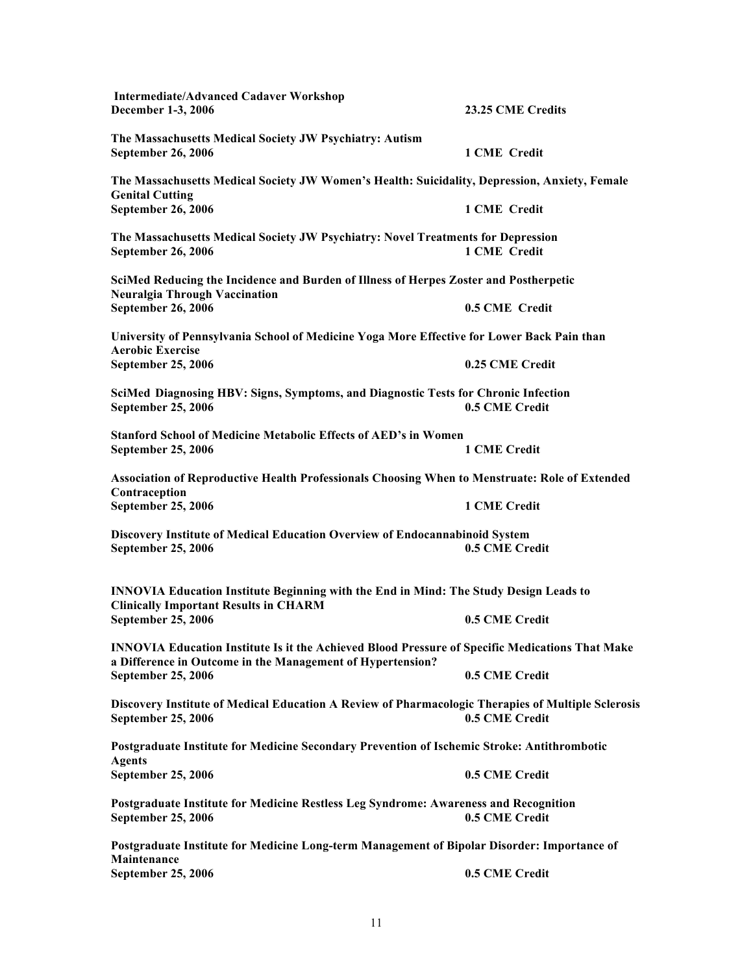**Intermediate/Advanced Cadaver Workshop December 1-3, 2006 23.25 CME Credits The Massachusetts Medical Society JW Psychiatry: Autism September 26, 2006 1 CME Credit The Massachusetts Medical Society JW Women's Health: Suicidality, Depression, Anxiety, Female Genital Cutting September 26, 2006 1 CME Credit The Massachusetts Medical Society JW Psychiatry: Novel Treatments for Depression September 26, 2006 1 CME Credit SciMed Reducing the Incidence and Burden of Illness of Herpes Zoster and Postherpetic Neuralgia Through Vaccination September 26, 2006 0.5 CME Credit University of Pennsylvania School of Medicine Yoga More Effective for Lower Back Pain than Aerobic Exercise September 25, 2006 0.25 CME Credit SciMed Diagnosing HBV: Signs, Symptoms, and Diagnostic Tests for Chronic Infection September 25, 2006 0.5 CME Credit Stanford School of Medicine Metabolic Effects of AED's in Women September 25, 2006 Association of Reproductive Health Professionals Choosing When to Menstruate: Role of Extended Contraception September 25, 2006 1 CME Credit Discovery Institute of Medical Education Overview of Endocannabinoid System September 25, 2006 0.5 CME Credit INNOVIA Education Institute Beginning with the End in Mind: The Study Design Leads to Clinically Important Results in CHARM September 25, 2006 0.5 CME Credit INNOVIA Education Institute Is it the Achieved Blood Pressure of Specific Medications That Make a Difference in Outcome in the Management of Hypertension? September 25, 2006 0.5 CME Credit Discovery Institute of Medical Education A Review of Pharmacologic Therapies of Multiple Sclerosis September 25, 2006 0.5 CME Credit Postgraduate Institute for Medicine Secondary Prevention of Ischemic Stroke: Antithrombotic Agents September 25, 2006 0.5 CME Credit Postgraduate Institute for Medicine Restless Leg Syndrome: Awareness and Recognition September 25, 2006 0.5 CME Credit Postgraduate Institute for Medicine Long-term Management of Bipolar Disorder: Importance of Maintenance September 25, 2006 0.5 CME Credit**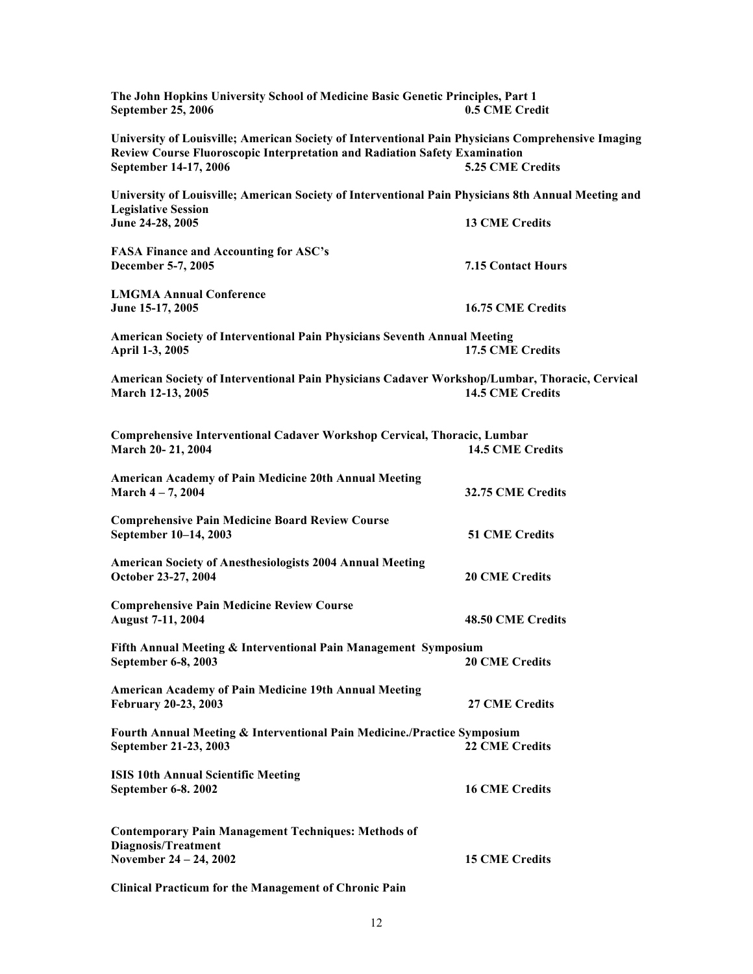| The John Hopkins University School of Medicine Basic Genetic Principles, Part 1<br><b>September 25, 2006</b>                                                                                                     | 0.5 CME Credit            |
|------------------------------------------------------------------------------------------------------------------------------------------------------------------------------------------------------------------|---------------------------|
| University of Louisville; American Society of Interventional Pain Physicians Comprehensive Imaging<br><b>Review Course Fluoroscopic Interpretation and Radiation Safety Examination</b><br>September 14-17, 2006 | 5.25 CME Credits          |
| University of Louisville; American Society of Interventional Pain Physicians 8th Annual Meeting and                                                                                                              |                           |
| <b>Legislative Session</b><br>June 24-28, 2005                                                                                                                                                                   | <b>13 CME Credits</b>     |
| <b>FASA Finance and Accounting for ASC's</b><br>December 5-7, 2005                                                                                                                                               | <b>7.15 Contact Hours</b> |
| <b>LMGMA Annual Conference</b><br>June 15-17, 2005                                                                                                                                                               | <b>16.75 CME Credits</b>  |
| <b>American Society of Interventional Pain Physicians Seventh Annual Meeting</b><br>April 1-3, 2005                                                                                                              | <b>17.5 CME Credits</b>   |
| American Society of Interventional Pain Physicians Cadaver Workshop/Lumbar, Thoracic, Cervical<br>March 12-13, 2005                                                                                              | <b>14.5 CME Credits</b>   |
| Comprehensive Interventional Cadaver Workshop Cervical, Thoracic, Lumbar<br>March 20-21, 2004                                                                                                                    | <b>14.5 CME Credits</b>   |
| <b>American Academy of Pain Medicine 20th Annual Meeting</b><br>March $4 - 7, 2004$                                                                                                                              | 32.75 CME Credits         |
| <b>Comprehensive Pain Medicine Board Review Course</b><br>September 10-14, 2003                                                                                                                                  | <b>51 CME Credits</b>     |
| <b>American Society of Anesthesiologists 2004 Annual Meeting</b><br>October 23-27, 2004                                                                                                                          | <b>20 CME Credits</b>     |
| <b>Comprehensive Pain Medicine Review Course</b><br><b>August 7-11, 2004</b>                                                                                                                                     | <b>48.50 CME Credits</b>  |
| Fifth Annual Meeting & Interventional Pain Management Symposium<br>September 6-8, 2003                                                                                                                           | <b>20 CME Credits</b>     |
| <b>American Academy of Pain Medicine 19th Annual Meeting</b><br><b>February 20-23, 2003</b>                                                                                                                      | <b>27 CME Credits</b>     |
| Fourth Annual Meeting & Interventional Pain Medicine./Practice Symposium<br>September 21-23, 2003                                                                                                                | <b>22 CME Credits</b>     |
| <b>ISIS 10th Annual Scientific Meeting</b><br>September 6-8. 2002                                                                                                                                                | <b>16 CME Credits</b>     |
| <b>Contemporary Pain Management Techniques: Methods of</b><br><b>Diagnosis/Treatment</b>                                                                                                                         |                           |
| November 24 - 24, 2002                                                                                                                                                                                           | <b>15 CME Credits</b>     |
|                                                                                                                                                                                                                  |                           |

**Clinical Practicum for the Management of Chronic Pain**